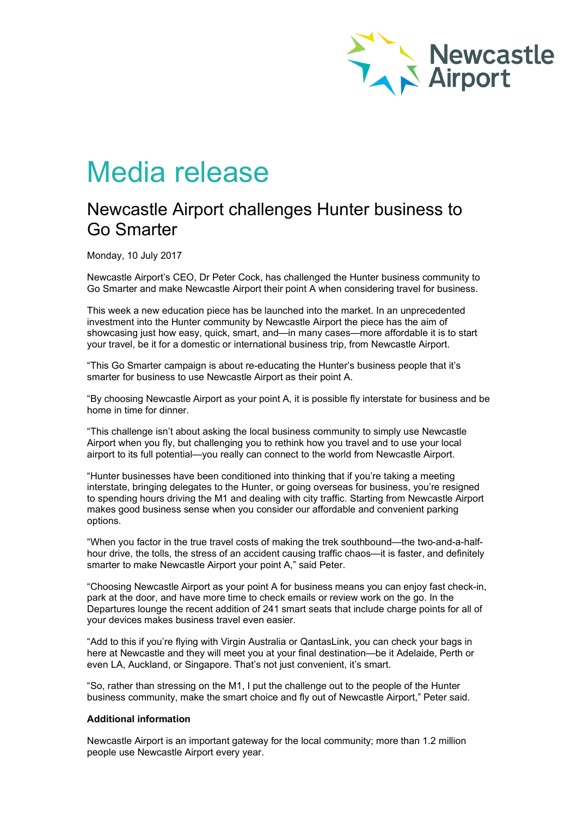

# Media release

## Newcastle Airport challenges Hunter business to Go Smarter

Monday, 10 July 2017

Newcastle Airport's CEO, Dr Peter Cock, has challenged the Hunter business community to Go Smarter and make Newcastle Airport their point A when considering travel for business.

This week a new education piece has be launched into the market. In an unprecedented investment into the Hunter community by Newcastle Airport the piece has the aim of showcasing just how easy, quick, smart, and—in many cases—more affordable it is to start your travel, be it for a domestic or international business trip, from Newcastle Airport.

"This Go Smarter campaign is about re-educating the Hunter's business people that it's smarter for business to use Newcastle Airport as their point A.

"By choosing Newcastle Airport as your point A, it is possible fly interstate for business and be home in time for dinner.

"This challenge isn't about asking the local business community to simply use Newcastle Airport when you fly, but challenging you to rethink how you travel and to use your local airport to its full potential—you really can connect to the world from Newcastle Airport.

"Hunter businesses have been conditioned into thinking that if you're taking a meeting interstate, bringing delegates to the Hunter, or going overseas for business, you're resigned to spending hours driving the M1 and dealing with city traffic. Starting from Newcastle Airport makes good business sense when you consider our affordable and convenient parking options.

"When you factor in the true travel costs of making the trek southbound—the two-and-a-halfhour drive, the tolls, the stress of an accident causing traffic chaos—it is faster, and definitely smarter to make Newcastle Airport your point A," said Peter.

"Choosing Newcastle Airport as your point A for business means you can enjoy fast check-in, park at the door, and have more time to check emails or review work on the go. In the Departures lounge the recent addition of 241 smart seats that include charge points for all of your devices makes business travel even easier.

"Add to this if you're flying with Virgin Australia or QantasLink, you can check your bags in here at Newcastle and they will meet you at your final destination—be it Adelaide, Perth or even LA, Auckland, or Singapore. That's not just convenient, it's smart.

"So, rather than stressing on the M1, I put the challenge out to the people of the Hunter business community, make the smart choice and fly out of Newcastle Airport," Peter said.

### **Additional information**

Newcastle Airport is an important gateway for the local community; more than 1.2 million people use Newcastle Airport every year.